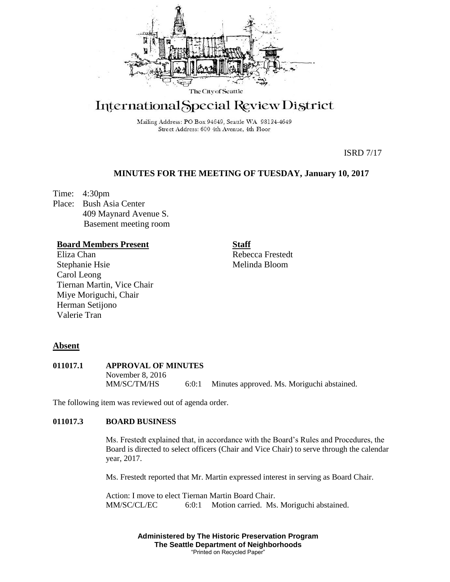

# International Special Review District

Mailing Address: PO Box 94649, Seattle WA 98124-4649 Street Address: 600 4th Avenue, 4th Floor

ISRD 7/17

## **MINUTES FOR THE MEETING OF TUESDAY, January 10, 2017**

Time: 4:30pm Place: Bush Asia Center 409 Maynard Avenue S. Basement meeting room

## **Board Members Present**

Eliza Chan Stephanie Hsie Carol Leong Tiernan Martin, Vice Chair Miye Moriguchi, Chair Herman Setijono Valerie Tran

**Staff**

Rebecca Frestedt Melinda Bloom

## **Absent**

**011017.1 APPROVAL OF MINUTES** November 8, 2016 MM/SC/TM/HS 6:0:1 Minutes approved. Ms. Moriguchi abstained.

The following item was reviewed out of agenda order.

## **011017.3 BOARD BUSINESS**

Ms. Frestedt explained that, in accordance with the Board's Rules and Procedures, the Board is directed to select officers (Chair and Vice Chair) to serve through the calendar year, 2017.

Ms. Frestedt reported that Mr. Martin expressed interest in serving as Board Chair.

Action: I move to elect Tiernan Martin Board Chair. MM/SC/CL/EC 6:0:1 Motion carried. Ms. Moriguchi abstained.

> **Administered by The Historic Preservation Program The Seattle Department of Neighborhoods** "Printed on Recycled Paper"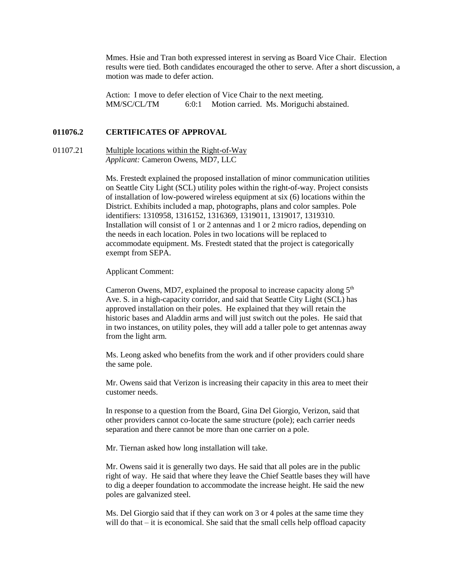Mmes. Hsie and Tran both expressed interest in serving as Board Vice Chair. Election results were tied. Both candidates encouraged the other to serve. After a short discussion, a motion was made to defer action.

Action: I move to defer election of Vice Chair to the next meeting. MM/SC/CL/TM 6:0:1 Motion carried. Ms. Moriguchi abstained.

#### **011076.2 CERTIFICATES OF APPROVAL**

01107.21 Multiple locations within the Right-of-Way *Applicant:* Cameron Owens, MD7, LLC

> Ms. Frestedt explained the proposed installation of minor communication utilities on Seattle City Light (SCL) utility poles within the right-of-way. Project consists of installation of low-powered wireless equipment at six (6) locations within the District. Exhibits included a map, photographs, plans and color samples. Pole identifiers: 1310958, 1316152, 1316369, 1319011, 1319017, 1319310. Installation will consist of 1 or 2 antennas and 1 or 2 micro radios, depending on the needs in each location. Poles in two locations will be replaced to accommodate equipment. Ms. Frestedt stated that the project is categorically exempt from SEPA.

Applicant Comment:

Cameron Owens, MD7, explained the proposal to increase capacity along  $5<sup>th</sup>$ Ave. S. in a high-capacity corridor, and said that Seattle City Light (SCL) has approved installation on their poles. He explained that they will retain the historic bases and Aladdin arms and will just switch out the poles. He said that in two instances, on utility poles, they will add a taller pole to get antennas away from the light arm.

Ms. Leong asked who benefits from the work and if other providers could share the same pole.

Mr. Owens said that Verizon is increasing their capacity in this area to meet their customer needs.

In response to a question from the Board, Gina Del Giorgio, Verizon, said that other providers cannot co-locate the same structure (pole); each carrier needs separation and there cannot be more than one carrier on a pole.

Mr. Tiernan asked how long installation will take.

Mr. Owens said it is generally two days. He said that all poles are in the public right of way. He said that where they leave the Chief Seattle bases they will have to dig a deeper foundation to accommodate the increase height. He said the new poles are galvanized steel.

Ms. Del Giorgio said that if they can work on 3 or 4 poles at the same time they will do that – it is economical. She said that the small cells help offload capacity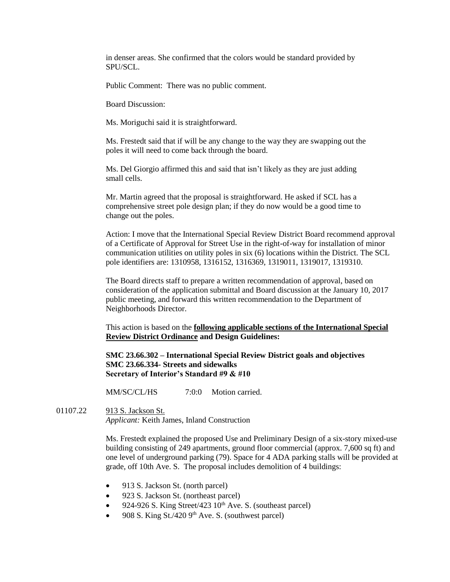in denser areas. She confirmed that the colors would be standard provided by SPU/SCL.

Public Comment: There was no public comment.

Board Discussion:

Ms. Moriguchi said it is straightforward.

Ms. Frestedt said that if will be any change to the way they are swapping out the poles it will need to come back through the board.

Ms. Del Giorgio affirmed this and said that isn't likely as they are just adding small cells.

Mr. Martin agreed that the proposal is straightforward. He asked if SCL has a comprehensive street pole design plan; if they do now would be a good time to change out the poles.

Action: I move that the International Special Review District Board recommend approval of a Certificate of Approval for Street Use in the right-of-way for installation of minor communication utilities on utility poles in six (6) locations within the District. The SCL pole identifiers are: 1310958, 1316152, 1316369, 1319011, 1319017, 1319310.

The Board directs staff to prepare a written recommendation of approval, based on consideration of the application submittal and Board discussion at the January 10, 2017 public meeting, and forward this written recommendation to the Department of Neighborhoods Director.

This action is based on the **following applicable sections of the International Special Review District Ordinance and Design Guidelines:** 

**SMC 23.66.302 – International Special Review District goals and objectives SMC 23.66.334- Streets and sidewalks Secretary of Interior's Standard #9 & #10**

MM/SC/CL/HS  $7:0:0$  Motion carried.

01107.22 913 S. Jackson St. *Applicant:* Keith James, Inland Construction

> Ms. Frestedt explained the proposed Use and Preliminary Design of a six-story mixed-use building consisting of 249 apartments, ground floor commercial (approx. 7,600 sq ft) and one level of underground parking (79). Space for 4 ADA parking stalls will be provided at grade, off 10th Ave. S. The proposal includes demolition of 4 buildings:

- 913 S. Jackson St. (north parcel)
- 923 S. Jackson St. (northeast parcel)
- 924-926 S. King Street/423 10<sup>th</sup> Ave. S. (southeast parcel)
- 908 S. King St./420  $9<sup>th</sup>$  Ave. S. (southwest parcel)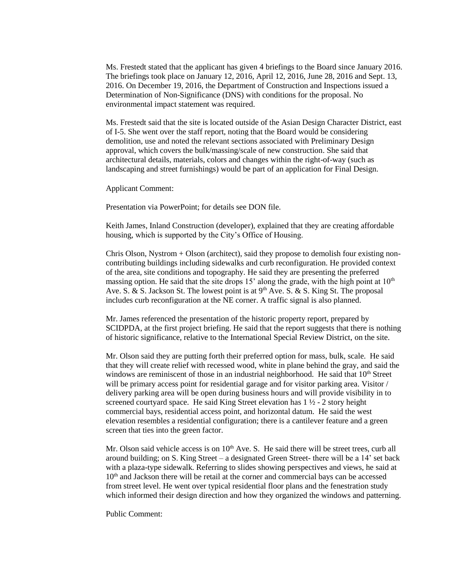Ms. Frestedt stated that the applicant has given 4 briefings to the Board since January 2016. The briefings took place on January 12, 2016, April 12, 2016, June 28, 2016 and Sept. 13, 2016. On December 19, 2016, the Department of Construction and Inspections issued a Determination of Non-Significance (DNS) with conditions for the proposal. No environmental impact statement was required.

Ms. Frestedt said that the site is located outside of the Asian Design Character District, east of I-5. She went over the staff report, noting that the Board would be considering demolition, use and noted the relevant sections associated with Preliminary Design approval, which covers the bulk/massing/scale of new construction. She said that architectural details, materials, colors and changes within the right-of-way (such as landscaping and street furnishings) would be part of an application for Final Design.

Applicant Comment:

Presentation via PowerPoint; for details see DON file.

Keith James, Inland Construction (developer), explained that they are creating affordable housing, which is supported by the City's Office of Housing.

Chris Olson, Nystrom + Olson (architect), said they propose to demolish four existing noncontributing buildings including sidewalks and curb reconfiguration. He provided context of the area, site conditions and topography. He said they are presenting the preferred massing option. He said that the site drops 15' along the grade, with the high point at  $10<sup>th</sup>$ Ave. S. & S. Jackson St. The lowest point is at  $9<sup>th</sup>$  Ave. S. & S. King St. The proposal includes curb reconfiguration at the NE corner. A traffic signal is also planned.

Mr. James referenced the presentation of the historic property report, prepared by SCIDPDA, at the first project briefing. He said that the report suggests that there is nothing of historic significance, relative to the International Special Review District, on the site.

Mr. Olson said they are putting forth their preferred option for mass, bulk, scale. He said that they will create relief with recessed wood, white in plane behind the gray, and said the windows are reminiscent of those in an industrial neighborhood. He said that  $10<sup>th</sup>$  Street will be primary access point for residential garage and for visitor parking area. Visitor / delivery parking area will be open during business hours and will provide visibility in to screened courtyard space. He said King Street elevation has  $1\frac{1}{2}$  - 2 story height commercial bays, residential access point, and horizontal datum. He said the west elevation resembles a residential configuration; there is a cantilever feature and a green screen that ties into the green factor.

Mr. Olson said vehicle access is on  $10<sup>th</sup>$  Ave. S. He said there will be street trees, curb all around building; on S. King Street – a designated Green Street- there will be a 14' set back with a plaza-type sidewalk. Referring to slides showing perspectives and views, he said at  $10<sup>th</sup>$  and Jackson there will be retail at the corner and commercial bays can be accessed from street level. He went over typical residential floor plans and the fenestration study which informed their design direction and how they organized the windows and patterning.

Public Comment: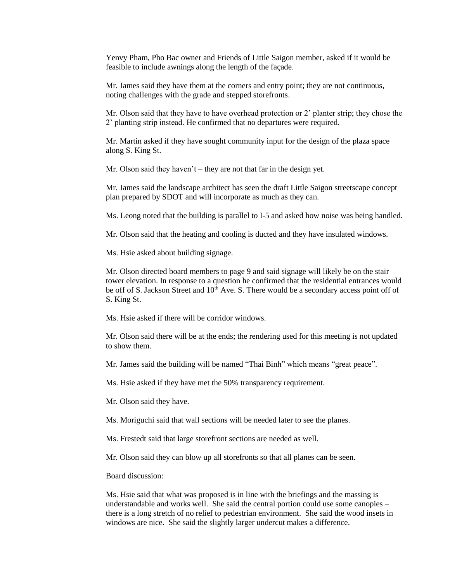Yenvy Pham, Pho Bac owner and Friends of Little Saigon member, asked if it would be feasible to include awnings along the length of the façade.

Mr. James said they have them at the corners and entry point; they are not continuous, noting challenges with the grade and stepped storefronts.

Mr. Olson said that they have to have overhead protection or 2' planter strip; they chose the 2' planting strip instead. He confirmed that no departures were required.

Mr. Martin asked if they have sought community input for the design of the plaza space along S. King St.

Mr. Olson said they haven't – they are not that far in the design yet.

Mr. James said the landscape architect has seen the draft Little Saigon streetscape concept plan prepared by SDOT and will incorporate as much as they can.

Ms. Leong noted that the building is parallel to I-5 and asked how noise was being handled.

Mr. Olson said that the heating and cooling is ducted and they have insulated windows.

Ms. Hsie asked about building signage.

Mr. Olson directed board members to page 9 and said signage will likely be on the stair tower elevation. In response to a question he confirmed that the residential entrances would be off of S. Jackson Street and 10<sup>th</sup> Ave. S. There would be a secondary access point off of S. King St.

Ms. Hsie asked if there will be corridor windows.

Mr. Olson said there will be at the ends; the rendering used for this meeting is not updated to show them.

Mr. James said the building will be named "Thai Binh" which means "great peace".

Ms. Hsie asked if they have met the 50% transparency requirement.

Mr. Olson said they have.

Ms. Moriguchi said that wall sections will be needed later to see the planes.

Ms. Frestedt said that large storefront sections are needed as well.

Mr. Olson said they can blow up all storefronts so that all planes can be seen.

Board discussion:

Ms. Hsie said that what was proposed is in line with the briefings and the massing is understandable and works well. She said the central portion could use some canopies – there is a long stretch of no relief to pedestrian environment. She said the wood insets in windows are nice. She said the slightly larger undercut makes a difference.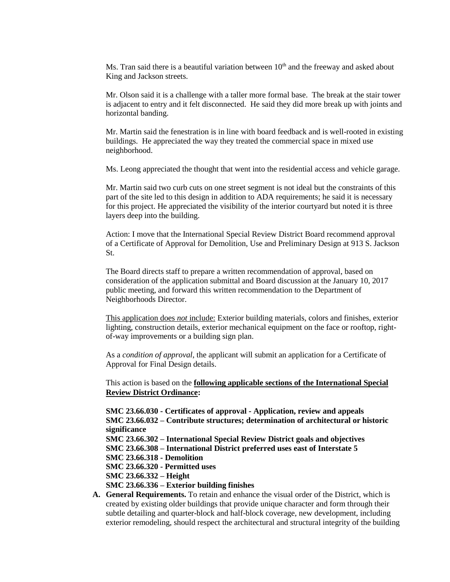Ms. Tran said there is a beautiful variation between  $10<sup>th</sup>$  and the freeway and asked about King and Jackson streets.

Mr. Olson said it is a challenge with a taller more formal base. The break at the stair tower is adjacent to entry and it felt disconnected. He said they did more break up with joints and horizontal banding.

Mr. Martin said the fenestration is in line with board feedback and is well-rooted in existing buildings. He appreciated the way they treated the commercial space in mixed use neighborhood.

Ms. Leong appreciated the thought that went into the residential access and vehicle garage.

Mr. Martin said two curb cuts on one street segment is not ideal but the constraints of this part of the site led to this design in addition to ADA requirements; he said it is necessary for this project. He appreciated the visibility of the interior courtyard but noted it is three layers deep into the building.

Action: I move that the International Special Review District Board recommend approval of a Certificate of Approval for Demolition, Use and Preliminary Design at 913 S. Jackson St.

The Board directs staff to prepare a written recommendation of approval, based on consideration of the application submittal and Board discussion at the January 10, 2017 public meeting, and forward this written recommendation to the Department of Neighborhoods Director.

This application does *not* include: Exterior building materials, colors and finishes, exterior lighting, construction details, exterior mechanical equipment on the face or rooftop, rightof-way improvements or a building sign plan.

As a *condition of approval*, the applicant will submit an application for a Certificate of Approval for Final Design details.

This action is based on the **following applicable sections of the International Special Review District Ordinance:** 

**SMC 23.66.030 - Certificates of approval - Application, review and appeals SMC 23.66.032 – Contribute structures; determination of architectural or historic significance SMC 23.66.302 – International Special Review District goals and objectives SMC 23.66.308 – International District preferred uses east of Interstate 5 SMC 23.66.318 - Demolition SMC 23.66.320 - Permitted uses SMC 23.66.332 – Height SMC 23.66.336 – Exterior building finishes A. General Requirements.** To retain and enhance the visual order of the District, which is

created by existing older buildings that provide unique character and form through their subtle detailing and quarter-block and half-block coverage, new development, including exterior remodeling, should respect the architectural and structural integrity of the building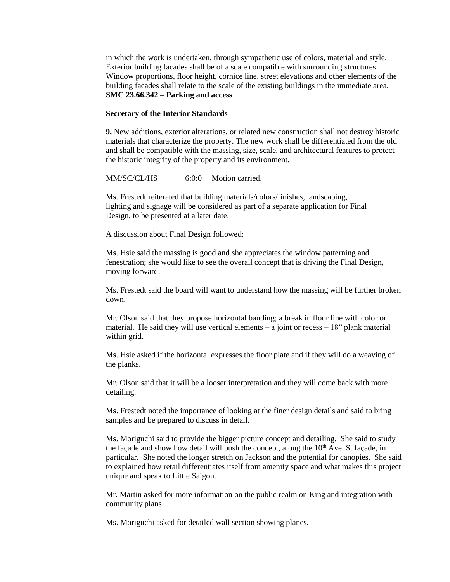in which the work is undertaken, through sympathetic use of colors, material and style. Exterior building facades shall be of a scale compatible with surrounding structures. Window proportions, floor height, cornice line, street elevations and other elements of the building facades shall relate to the scale of the existing buildings in the immediate area. **SMC 23.66.342 – Parking and access**

### **Secretary of the Interior Standards**

**9.** New additions, exterior alterations, or related new construction shall not destroy historic materials that characterize the property. The new work shall be differentiated from the old and shall be compatible with the massing, size, scale, and architectural features to protect the historic integrity of the property and its environment.

MM/SC/CL/HS 6:0:0 Motion carried.

Ms. Frestedt reiterated that building materials/colors/finishes, landscaping, lighting and signage will be considered as part of a separate application for Final Design, to be presented at a later date.

A discussion about Final Design followed:

Ms. Hsie said the massing is good and she appreciates the window patterning and fenestration; she would like to see the overall concept that is driving the Final Design, moving forward.

Ms. Frestedt said the board will want to understand how the massing will be further broken down.

Mr. Olson said that they propose horizontal banding; a break in floor line with color or material. He said they will use vertical elements – a joint or recess  $-18$ " plank material within grid.

Ms. Hsie asked if the horizontal expresses the floor plate and if they will do a weaving of the planks.

Mr. Olson said that it will be a looser interpretation and they will come back with more detailing.

Ms. Frestedt noted the importance of looking at the finer design details and said to bring samples and be prepared to discuss in detail.

Ms. Moriguchi said to provide the bigger picture concept and detailing. She said to study the façade and show how detail will push the concept, along the  $10<sup>th</sup>$  Ave. S. façade, in particular. She noted the longer stretch on Jackson and the potential for canopies. She said to explained how retail differentiates itself from amenity space and what makes this project unique and speak to Little Saigon.

Mr. Martin asked for more information on the public realm on King and integration with community plans.

Ms. Moriguchi asked for detailed wall section showing planes.